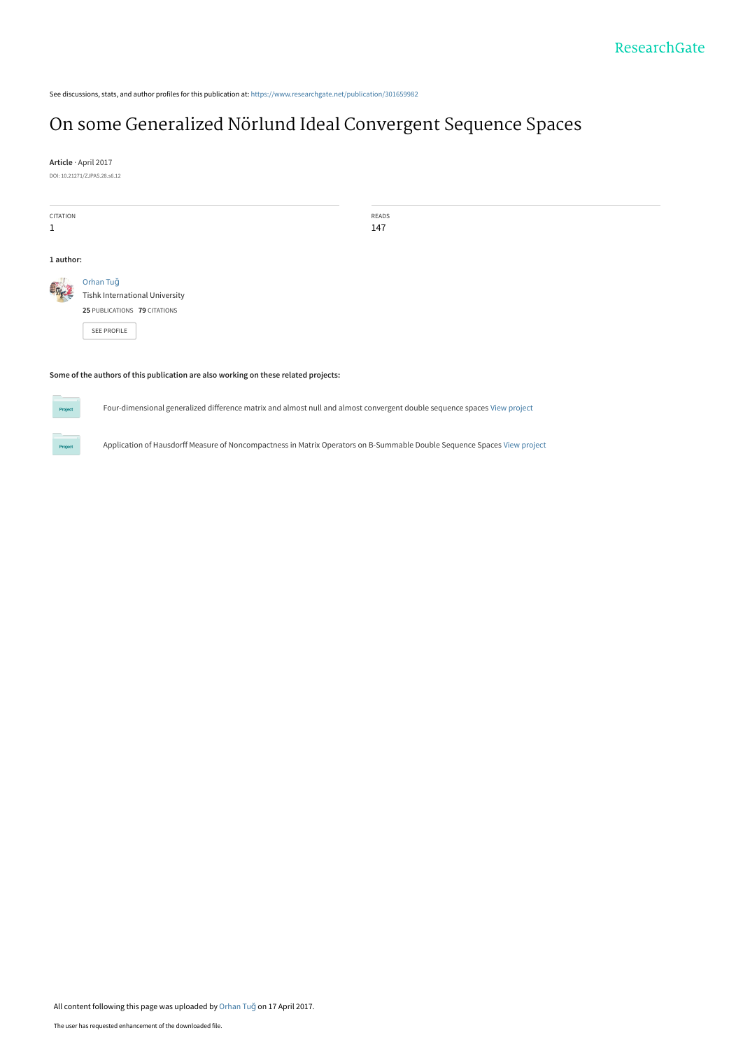See discussions, stats, and author profiles for this publication at: [https://www.researchgate.net/publication/301659982](https://www.researchgate.net/publication/301659982_On_some_Generalized_Norlund_Ideal_Convergent_Sequence_Spaces?enrichId=rgreq-4d32d1fe3914e0275c95031fe8462a72-XXX&enrichSource=Y292ZXJQYWdlOzMwMTY1OTk4MjtBUzo0ODQwNzU4NjY3MjY0MDFAMTQ5MjQyNDA4ODE1NQ%3D%3D&el=1_x_2&_esc=publicationCoverPdf)

## [On some Generalized Nörlund Ideal Convergent Sequence Spaces](https://www.researchgate.net/publication/301659982_On_some_Generalized_Norlund_Ideal_Convergent_Sequence_Spaces?enrichId=rgreq-4d32d1fe3914e0275c95031fe8462a72-XXX&enrichSource=Y292ZXJQYWdlOzMwMTY1OTk4MjtBUzo0ODQwNzU4NjY3MjY0MDFAMTQ5MjQyNDA4ODE1NQ%3D%3D&el=1_x_3&_esc=publicationCoverPdf)

**Article** · April 2017 DOI: 10.21271/ZJPAS.28.s6.12

| <b>CITATION</b><br>1                                                                |                                                                                            | READS<br>147 |
|-------------------------------------------------------------------------------------|--------------------------------------------------------------------------------------------|--------------|
| 1 author:                                                                           |                                                                                            |              |
|                                                                                     | Orhan Tuğ<br>Tishk International University<br>25 PUBLICATIONS 79 CITATIONS<br>SEE PROFILE |              |
| Some of the authors of this publication are also working on these related projects: |                                                                                            |              |

Four-dimensional generalized difference matrix and almost null and almost convergent double sequence spaces [View project](https://www.researchgate.net/project/Four-dimensional-generalized-difference-matrix-and-almost-null-and-almost-convergent-double-sequence-spaces?enrichId=rgreq-4d32d1fe3914e0275c95031fe8462a72-XXX&enrichSource=Y292ZXJQYWdlOzMwMTY1OTk4MjtBUzo0ODQwNzU4NjY3MjY0MDFAMTQ5MjQyNDA4ODE1NQ%3D%3D&el=1_x_9&_esc=publicationCoverPdf)

Application of Hausdorff Measure of Noncompactness in Matrix Operators on B-Summable Double Sequence Spaces [View project](https://www.researchgate.net/project/Application-of-Hausdorff-Measure-of-Noncompactness-in-Matrix-Operators-on-B-Summable-Double-Sequence-Spaces?enrichId=rgreq-4d32d1fe3914e0275c95031fe8462a72-XXX&enrichSource=Y292ZXJQYWdlOzMwMTY1OTk4MjtBUzo0ODQwNzU4NjY3MjY0MDFAMTQ5MjQyNDA4ODE1NQ%3D%3D&el=1_x_9&_esc=publicationCoverPdf)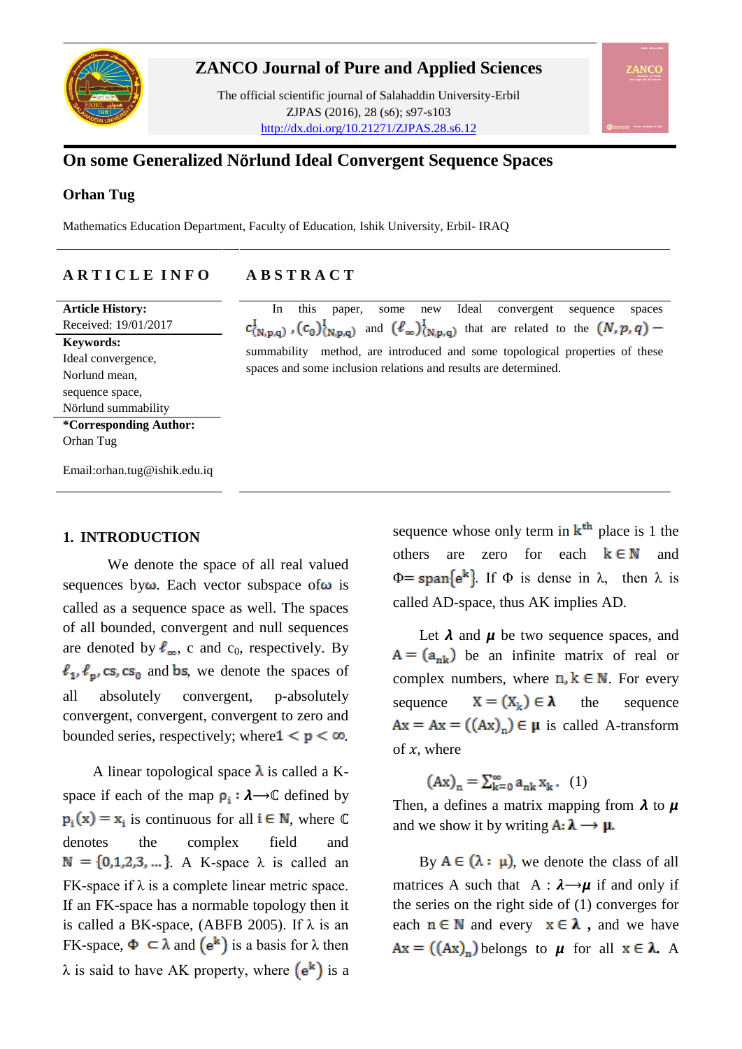

#### **ZANCO Journal of Pure and Applied Sciences**

The official scientific journal of Salahaddin University-Erbil ZJPAS (2016), 28 (s6); s97-s103 http://dx.doi.org/10.21271/ZJPAS.28.s6.12

### **On some Generalized N**ö**rlund Ideal Convergent Sequence Spaces**

#### **Orhan Tug**

Mathematics Education Department, Faculty of Education, Ishik University, Erbil- IRAQ

#### **A R T I C L E I N F O A B S T R A C T**

**Article History:** Received: 19/01/2017 **Keywords:**  Ideal convergence, Norlund mean, sequence space, Nörlund summability **\*Corresponding Author:** Orhan Tug

 In this paper, some new Ideal convergent sequence spaces  $c^I_{(N,p,q)}$ ,  $(c_0)^I_{(N,p,q)}$  and  $(\ell_\infty)^I_{(N,p,q)}$  that are related to the  $(N,p,q)$  summability method, are introduced and some topological properties of these spaces and some inclusion relations and results are determined.

Email:orhan.tug@ishik.edu.iq

#### **1. INTRODUCTION**

 We denote the space of all real valued sequences by  $\omega$ . Each vector subspace of  $\omega$  is called as a sequence space as well. The spaces of all bounded, convergent and null sequences are denoted by  $\ell_{\infty}$ , c and c<sub>0</sub>, respectively. By  $\ell_1, \ell_p, \text{cs}, \text{cs}_0$  and bs, we denote the spaces of all absolutely convergent, p-absolutely convergent, convergent, convergent to zero and bounded series, respectively; where  $1 \le p \le \infty$ .

A linear topological space  $\lambda$  is called a Kspace if each of the map  $\rho_i : \lambda \rightarrow \mathbb{C}$  defined by  $p_i(x) = x_i$  is continuous for all  $i \in \mathbb{N}$ , where  $\mathbb{C}$ denotes the complex field and  $N = \{0,1,2,3,...\}$ . A K-space  $\lambda$  is called an  $FK-space$  if  $\lambda$  is a complete linear metric space. If an FK-space has a normable topology then it is called a BK-space, (ABFB 2005). If  $\lambda$  is an FK-space,  $\Phi \subset \lambda$  and  $(e^k)$  is a basis for  $\lambda$  then  $\lambda$  is said to have AK property, where  $(e^k)$  is a

sequence whose only term in  $k<sup>th</sup>$  place is 1 the others are zero for each  $k \in \mathbb{N}$  and  $\Phi = \text{span}\{\mathbf{e}^{\mathbf{k}}\}\$ . If  $\Phi$  is dense in  $\lambda$ , then  $\lambda$  is called AD-space, thus AK implies AD.

Let  $\lambda$  and  $\mu$  be two sequence spaces, and  $A = (a_{nk})$  be an infinite matrix of real or complex numbers, where  $n, k \in \mathbb{N}$ . For every sequence  $X = (X_L) \in \lambda$  the sequence  $Ax = Ax = ((Ax)<sub>n</sub>) \in \mu$  is called A-transform of  $x$ , where

 $(Ax)_n = \sum_{k=0}^{\infty} a_{nk} x_k$ , (1)

Then, a defines a matrix mapping from  $\lambda$  to  $\mu$ and we show it by writing  $\mathbf{A} \colon \lambda \longrightarrow \mu$ .

By  $A \in (\lambda : \mu)$ , we denote the class of all matrices A such that  $A : \lambda \rightarrow \mu$  if and only if the series on the right side of (1) converges for each  $n \in \mathbb{N}$  and every  $x \in \lambda$ , and we have  $Ax = ((Ax)_n)$  belongs to  $\mu$  for all  $x \in \lambda$ . A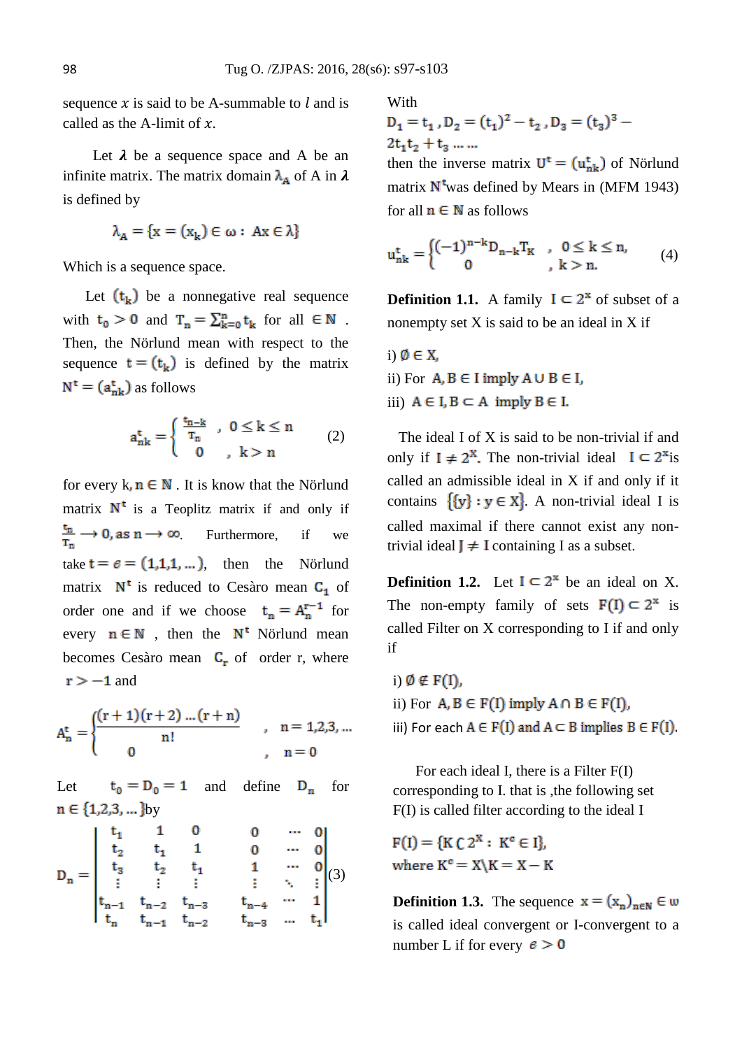sequence  $x$  is said to be A-summable to  $l$  and is called as the A-limit of  $x$ .

Let  $\lambda$  be a sequence space and A be an infinite matrix. The matrix domain  $\lambda_A$  of A in  $\lambda$ is defined by

$$
\lambda_A = \{x = (x_k) \in \omega : Ax \in \lambda\}
$$

Which is a sequence space.

Let  $(t_k)$  be a nonnegative real sequence with  $t_0 > 0$  and  $T_n = \sum_{k=0}^n t_k$  for all  $\in \mathbb{N}$ . Then, the Nörlund mean with respect to the sequence  $t = (t_k)$  is defined by the matrix  $N^t = (a_{nk}^t)$  as follows

$$
a_{nk}^t=\left\{\begin{array}{ll} \frac{t_{n-k}}{T_n} \ , \ 0\leq k\leq n \\ 0 \ , \ k>n \end{array}\right. \qquad (2)
$$

for every  $k, n \in \mathbb{N}$ . It is know that the Nörlund matrix  $N^t$  is a Teoplitz matrix if and only if  $\frac{t_n}{T_n} \to 0$ , as  $n \to \infty$ . Furthermore, if we take  $t = e = (1,1,1,...)$ , then the Nörlund matrix  $N^t$  is reduced to Cesàro mean  $C_1$  of order one and if we choose  $t_n = A_n^{r-1}$  for every  $n \in \mathbb{N}$ , then the  $N^t$  Nörlund mean becomes Cesàro mean  $C_r$  of order r, where  $r > -1$  and

$$
A_n^{t} = \begin{cases} \frac{(r+1)(r+2)...(r+n)}{n!} & , n = 1,2,3,... \\ 0 & , n = 0 \end{cases}
$$

Let  $t_0 = D_0 = 1$  and define  $D_n$  for  $n \in \{1,2,3,...\}$ by

$$
D_n=\begin{vmatrix} t_1 & 1 & 0 & 0 & \cdots & 0 \\ t_2 & t_1 & 1 & 0 & \cdots & 0 \\ t_3 & t_2 & t_1 & 1 & \cdots & 0 \\ \vdots & \vdots & \vdots & \vdots & \ddots & \vdots \\ t_{n-1} & t_{n-2} & t_{n-3} & t_{n-4} & \cdots & 1 \\ t_n & t_{n-1} & t_{n-2} & t_{n-3} & \cdots & t_1 \end{vmatrix}(3)
$$

With<br> $D_1 = t_1$ ,  $D_2 = (t_1)^2 - t_2$ ,  $D_3 = (t_3)^3 - t_1$  $2t_1t_2 + t_3$  ... ...

then the inverse matrix  $U^t = (u_{nk}^t)$  of Nörlund matrix  $N^t$  was defined by Mears in (MFM 1943) for all  $n \in \mathbb{N}$  as follows

$$
u_{nk}^{t} = \begin{cases} (-1)^{n-k} D_{n-k} T_K & , 0 \le k \le n, \\ 0 & , k > n. \end{cases}
$$
 (4)

**Definition 1.1.** A family  $I \subseteq 2^x$  of subset of a nonempty set X is said to be an ideal in X if

i)  $\emptyset \in X$ , ii) For  $A, B \in I$  imply  $A \cup B \in I$ , iii)  $A \in I, B \subset A$  imply  $B \in I$ .

 The ideal I of X is said to be non-trivial if and only if  $I \neq 2^X$ . The non-trivial ideal  $I \subseteq 2^x$  is called an admissible ideal in X if and only if it contains  $\{y\} : y \in X\}$ . A non-trivial ideal I is called maximal if there cannot exist any nontrivial ideal  $J \neq I$  containing I as a subset.

**Definition 1.2.** Let  $I \subseteq 2^x$  be an ideal on X. The non-empty family of sets  $F(I) \subset 2^x$  is called Filter on X corresponding to I if and only if

i)  $\emptyset \notin F(I)$ , ii) For  $A, B \in F(I)$  imply  $A \cap B \in F(I)$ , iii) For each  $A \in F(I)$  and  $A \subset B$  implies  $B \in F(I)$ .

 For each ideal I, there is a Filter F(I) corresponding to I. that is ,the following set F(I) is called filter according to the ideal I

 $F(I) = {K C 2^X : K^c \in I}.$ where  $K^c = X \backslash K = X - K$ 

**Definition 1.3.** The sequence  $x = (x_n)_{n \in \mathbb{N}} \in \omega$ is called ideal convergent or I-convergent to a number L if for every  $e > 0$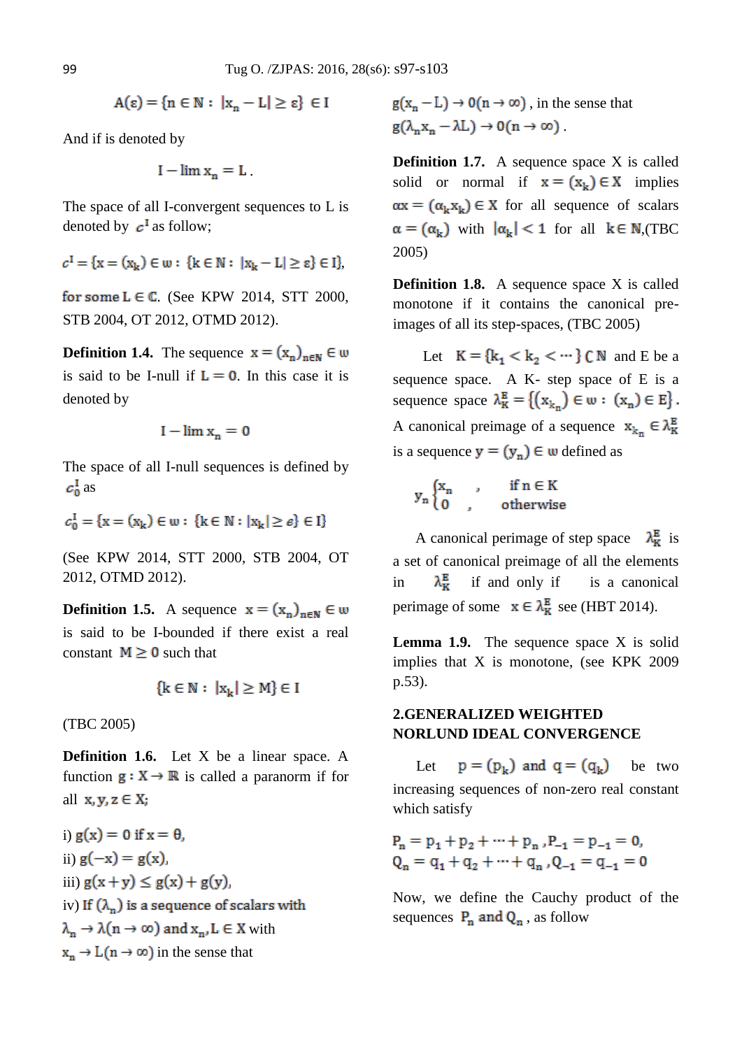$$
A(\epsilon) = \{ n \in \mathbb{N} : |x_n - L| \ge \epsilon \} \in I
$$

And if is denoted by

$$
I - \lim x_n = L
$$
.

The space of all I-convergent sequences to L is denoted by  $c^{\mathsf{T}}$  as follow;

$$
c^{I} = \{x = (x_k) \in \omega : \{k \in \mathbb{N} : |x_k - L| \ge \epsilon\} \in I\},\
$$

for some  $L \in \mathbb{C}$ . (See KPW 2014, STT 2000, STB 2004, OT 2012, OTMD 2012).

**Definition 1.4.** The sequence  $\mathbf{x} = (x_n)_{n \in \mathbb{N}} \in \mathbf{w}$ is said to be I-null if  $L = 0$ . In this case it is denoted by

$$
I - \lim x_n = 0
$$

The space of all I-null sequences is defined by  $c_0^{\rm I}$  as

$$
c_0^{\mathrm{I}} = \{ \mathbf{x} = (\mathbf{x_k}) \in \mathbf{w} : \{ \mathbf{k} \in \mathbb{N} : |\mathbf{x_k}| \ge \epsilon \} \in \mathbf{I} \}
$$

(See KPW 2014, STT 2000, STB 2004, OT 2012, OTMD 2012).

**Definition 1.5.** A sequence  $x = (x_n)_{n \in \mathbb{N}} \in \omega$ is said to be I-bounded if there exist a real constant  $M \geq 0$  such that

$$
\{k \in \mathbb{N} : |x_k| \ge M\} \in I
$$

(TBC 2005)

**Definition 1.6.** Let X be a linear space. A function  $g: X \to \mathbb{R}$  is called a paranorm if for all  $x, y, z \in X$ ;

i)  $g(x) = 0$  if  $x = \theta$ , ii)  $g(-x) = g(x)$ iii)  $g(x+y) \le g(x) + g(y)$ , iv) If  $(\lambda_n)$  is a sequence of scalars with  $\lambda_n \to \lambda(n \to \infty)$  and  $x_n, L \in X$  with  $x_n \rightarrow L(n \rightarrow \infty)$  in the sense that

 $g(x_n - L) \rightarrow 0$  (n  $\rightarrow \infty$ ), in the sense that  $g(\lambda_n x_n - \lambda L) \rightarrow 0(n \rightarrow \infty)$ .

**Definition 1.7.** A sequence space X is called solid or normal if  $x = (x_k) \in X$  implies  $\alpha x = (\alpha_k x_k) \in X$  for all sequence of scalars  $\alpha = (\alpha_k)$  with  $|\alpha_k| < 1$  for all  $k \in N$ ,(TBC 2005)

**Definition 1.8.** A sequence space X is called monotone if it contains the canonical preimages of all its step-spaces, (TBC 2005)

Let  $K = \{k_1 < k_2 < \cdots \}$  C N and E be a sequence space. A K- step space of E is a sequence space  $\lambda_K^E = \{ (x_{k_n}) \in \omega : (x_n) \in E \}.$ A canonical preimage of a sequence  $x_{k_n} \in \lambda_K^B$ is a sequence  $y = (y_n) \in \omega$  defined as

$$
y_n\begin{cases}x_n&,\quad\quad\text{if }n\in K\\0&,\quad\quad\text{otherwise}\end{cases}
$$

A canonical perimage of step space  $\lambda_{\text{K}}^{\text{E}}$  is a set of canonical preimage of all the elements in  $\lambda_{\kappa}^{E}$  if and only if is a canonical perimage of some  $x \in \lambda_K^E$  see (HBT 2014).

**Lemma 1.9.** The sequence space X is solid implies that X is monotone, (see KPK 2009 p.53).

#### **2.GENERALIZED WEIGHTED NORLUND IDEAL CONVERGENCE**

Let  $p = (p_k)$  and  $q = (q_k)$  be two increasing sequences of non-zero real constant which satisfy

$$
P_n = p_1 + p_2 + \dots + p_n, P_{-1} = p_{-1} = 0,
$$
  
\n
$$
Q_n = q_1 + q_2 + \dots + q_n, Q_{-1} = q_{-1} = 0
$$

Now, we define the Cauchy product of the sequences  $P_n$  and  $Q_n$ , as follow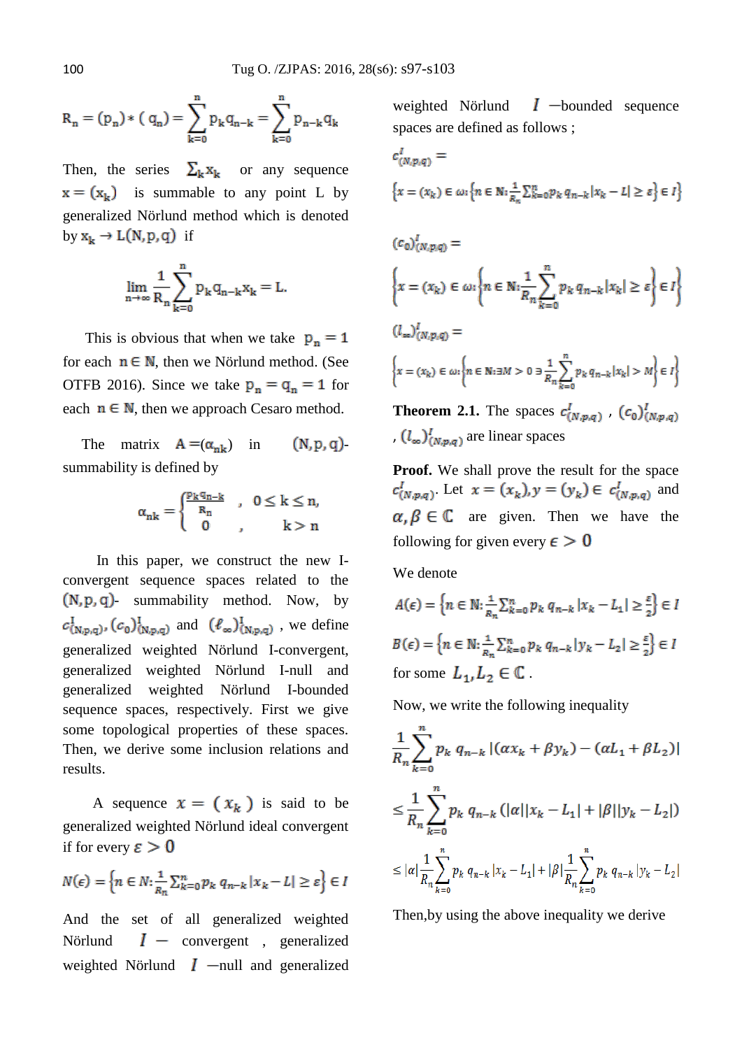$$
R_n = (p_n) * (q_n) = \sum_{k=0}^{n} p_k q_{n-k} = \sum_{k=0}^{n} p_{n-k} q_k
$$

Then, the series  $\Sigma_{\mathbf{k}} \mathbf{x}_{\mathbf{k}}$  or any sequence  $x = (x_k)$  is summable to any point L by generalized Nörlund method which is denoted by  $\mathtt{x_k}\to\mathtt{L}(\mathtt{N,p,q})$  if

$$
\lim_{n\to\infty}\frac{1}{R_n}\sum_{k=0}^n p_k q_{n-k}x_k=L
$$

This is obvious that when we take  $p_n = 1$ for each  $n \in \mathbb{N}$ , then we Nörlund method. (See OTFB 2016). Since we take  $p_n = q_n = 1$  for each  $n \in \mathbb{N}$ , then we approach Cesaro method.

The matrix  $A = (\alpha_{nk})$  in  $(N, p, q)$ summability is defined by

$$
\alpha_{nk} = \begin{cases} \frac{p_k q_{n-k}}{R_n} & , \ \ 0 \leq k \leq n, \\ 0 & , \qquad k > n \end{cases}
$$

 In this paper, we construct the new Iconvergent sequence spaces related to the  $(N, p, q)$ - summability method. Now, by  $c^I_{(N,p,q)}$ ,  $(c_0)^I_{(N,p,q)}$  and  $(\ell_\infty)^I_{(N,p,q)}$ , we define generalized weighted Nörlund I-convergent, generalized weighted Nörlund I-null and generalized weighted Nörlund I-bounded sequence spaces, respectively. First we give some topological properties of these spaces. Then, we derive some inclusion relations and results.

A sequence  $x = (x_k)$  is said to be generalized weighted Nörlund ideal convergent if for every  $\varepsilon > 0$ 

$$
N(\epsilon) = \left\{ n \in N : \frac{1}{R_n} \sum_{k=0}^n p_k \ q_{n-k} \ |x_k - L| \ge \varepsilon \right\} \in I
$$

And the set of all generalized weighted Nörlund  $I -$  convergent, generalized weighted Nörlund  $I$  -null and generalized weighted Nörlund  $I$  -bounded sequence spaces are defined as follows ;

$$
c_{(N,p,q)}^I =
$$
  

$$
\left\{x = (x_k) \in \omega \colon \left\{n \in \mathbb{N} \colon \frac{1}{R_n} \sum_{k=0}^n p_k q_{n-k} |x_k - L| \ge \varepsilon\right\} \in I\right\}
$$

$$
(c_0)'_{(N,p,q)} =
$$
\n
$$
\left\{ x = (x_k) \in \omega : \left\{ n \in \mathbb{N} : \frac{1}{R_n} \sum_{k=0}^n p_k q_{n-k} |x_k| \ge \varepsilon \right\} \in I \right\}
$$
\n
$$
(l_{\infty})'_{(N,p,q)} =
$$
\n
$$
\left\{ x = (x_k) \in \omega : \left\{ n \in \mathbb{N} : \exists M > 0 \exists \frac{1}{R_n} \sum_{k=0}^n p_k q_{n-k} |x_k| > M \right\} \in I \right\}
$$
\nTheorem 2.1. The spaces  $c_1' = \dots = (c_1)'$ .

**EMECTER 2.1.** The spaces  $c_{(N,p,q)}^*$ ,  $(c_0)_{(N,p,q)}^*$ ,  $(l_{\infty})^I_{(N,\mathfrak{p},q)}$  are linear spaces

**Proof.** We shall prove the result for the space  $c_{(N,p,q)}^l$ . Let  $x = (x_k), y = (y_k) \in c_{(N,p,q)}^l$  and  $\alpha, \beta \in \mathbb{C}$  are given. Then we have the following for given every  $\epsilon > 0$ 

We denote

$$
A(\epsilon) = \left\{ n \in \mathbb{N} : \frac{1}{R_n} \sum_{k=0}^n p_k q_{n-k} |x_k - L_1| \ge \frac{\varepsilon}{2} \right\} \in I
$$
  

$$
B(\epsilon) = \left\{ n \in \mathbb{N} : \frac{1}{R_n} \sum_{k=0}^n p_k q_{n-k} |y_k - L_2| \ge \frac{\varepsilon}{2} \right\} \in I
$$
  
for some  $L_1, L_2 \in \mathbb{C}$ .

Now, we write the following inequality

$$
\frac{1}{R_n} \sum_{k=0}^n p_k q_{n-k} |(\alpha x_k + \beta y_k) - (\alpha L_1 + \beta L_2)|
$$
  
\n
$$
\leq \frac{1}{R_n} \sum_{k=0}^n p_k q_{n-k} (|\alpha| |x_k - L_1| + |\beta| |y_k - L_2|)
$$
  
\n
$$
\leq |\alpha| \frac{1}{R_n} \sum_{k=0}^n p_k q_{n-k} |x_k - L_1| + |\beta| \frac{1}{R_n} \sum_{k=0}^n p_k q_{n-k} |y_k - L_2|
$$

Then,by using the above inequality we derive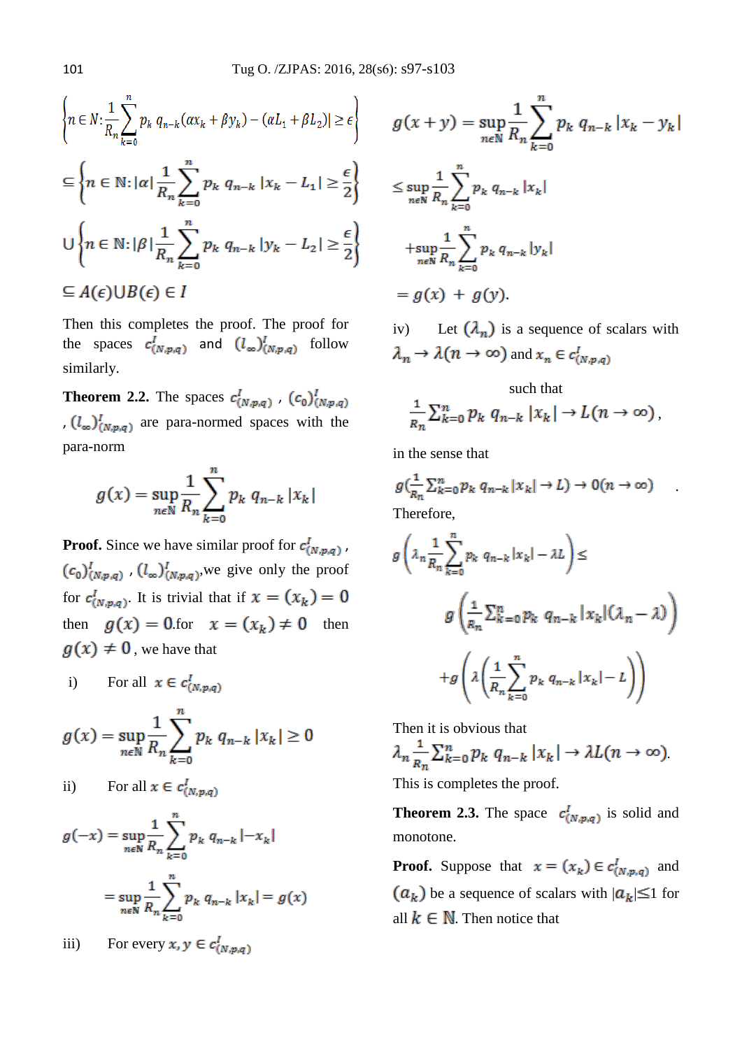$$
\left\{ n \in \mathbb{N} : \frac{1}{R_n} \sum_{k=0}^n p_k q_{n-k} (\alpha x_k + \beta y_k) - (\alpha L_1 + \beta L_2) | \ge \epsilon \right\}
$$
  

$$
\subseteq \left\{ n \in \mathbb{N} : |\alpha| \frac{1}{R_n} \sum_{k=0}^n p_k q_{n-k} |x_k - L_1| \ge \frac{\epsilon}{2} \right\}
$$
  

$$
\cup \left\{ n \in \mathbb{N} : |\beta| \frac{1}{R_n} \sum_{k=0}^n p_k q_{n-k} |y_k - L_2| \ge \frac{\epsilon}{2} \right\}
$$
  

$$
\subseteq A(\epsilon) \cup B(\epsilon) \in I
$$

Then this completes the proof. The proof for the spaces  $c^I_{(N,p,q)}$  and  $(l_\infty)^I_{(N,p,q)}$  follow similarly.

**Theorem 2.2.** The spaces  $c_{(N,p,q)}^I$ ,  $(c_0)_{(N,p,q)}^I$ ,  $(l_{\infty})^I_{(N,p,q)}$  are para-normed spaces with the para-norm

$$
g(x) = \sup_{n \in \mathbb{N}} \frac{1}{R_n} \sum_{k=0}^{n} p_k q_{n-k} |x_k|
$$

**Proof.** Since we have similar proof for  $c^I_{(N,p,q)}$ ,  $\left(c_0\right)^l_{\left(N,p,q\right)}$  ,  $\left(l_\infty\right)^l_{\left(N,p,q\right)},$  we give only the proof for  $c^I_{(N,p,q)}$ . It is trivial that if  $x = (x_k) = 0$ then  $g(x) = 0$ .for  $x = (x_k) \neq 0$  then  $g(x) \neq 0$ , we have that

i) For all 
$$
x \in c^I_{(N,p,q)}
$$

$$
g(x) = \sup_{n \in \mathbb{N}} \frac{1}{R_n} \sum_{k=0}^n p_k q_{n-k} |x_k| \ge 0
$$

ii) For all 
$$
x \in c^I_{(N,p,q)}
$$

$$
g(-x) = \sup_{n \in \mathbb{N}} \frac{1}{R_n} \sum_{k=0}^{n} p_k q_{n-k} |-x_k|
$$

$$
= \sup_{n \in \mathbb{N}} \frac{1}{R_n} \sum_{k=0} p_k \, q_{n-k} \, |x_k| = g(x)
$$

iii) For every 
$$
x, y \in c^l_{(N,p,q)}
$$

$$
g(x + y) = \sup_{n \in \mathbb{N}} \frac{1}{R_n} \sum_{k=0}^{n} p_k q_{n-k} |x_k - y_k|
$$
  

$$
\leq \sup_{n \in \mathbb{N}} \frac{1}{R_n} \sum_{k=0}^{n} p_k q_{n-k} |x_k|
$$
  

$$
+ \sup_{n \in \mathbb{N}} \frac{1}{R_n} \sum_{k=0}^{n} p_k q_{n-k} |y_k|
$$
  

$$
= g(x) + g(y).
$$

iv) Let  $\left(\lambda_n\right)$  is a sequence of scalars with  $\lambda_n \to \lambda(n \to \infty)$  and  $x_n \in c^I_{(N,p,q)}$ 

# such that  $\frac{1}{R_n}\sum_{k=0}^n p_k q_{n-k} |x_k| \to L(n \to \infty),$

in the sense that

$$
g\left(\frac{1}{R_n}\sum_{k=0}^n p_k q_{n-k} |x_k| \to L\right) \to 0(n \to \infty)
$$
  
Therefore,

.

$$
g\left(\lambda_n \frac{1}{R_n} \sum_{k=0}^n p_k q_{n-k} |x_k| - \lambda L\right) \le
$$
  

$$
g\left(\frac{1}{R_n} \sum_{k=0}^n p_k q_{n-k} |x_k| (\lambda_n - \lambda)\right)
$$
  

$$
+ g\left(\lambda \left(\frac{1}{R_n} \sum_{k=0}^n p_k q_{n-k} |x_k| - L\right)\right)
$$

Then it is obvious that

$$
\lambda_n \frac{1}{R_n} \sum_{k=0}^n p_k \ q_{n-k} |x_k| \to \lambda L(n \to \infty)
$$

This is completes the proof.

**Theorem 2.3.** The space  $c^I_{(N,p,q)}$  is solid and monotone.

**Proof.** Suppose that  $x = (x_k) \in c^I_{(N,p,q)}$  and  $(a_k)$  be a sequence of scalars with  $|a_k| \leq 1$  for all  $k \in \mathbb{N}$ . Then notice that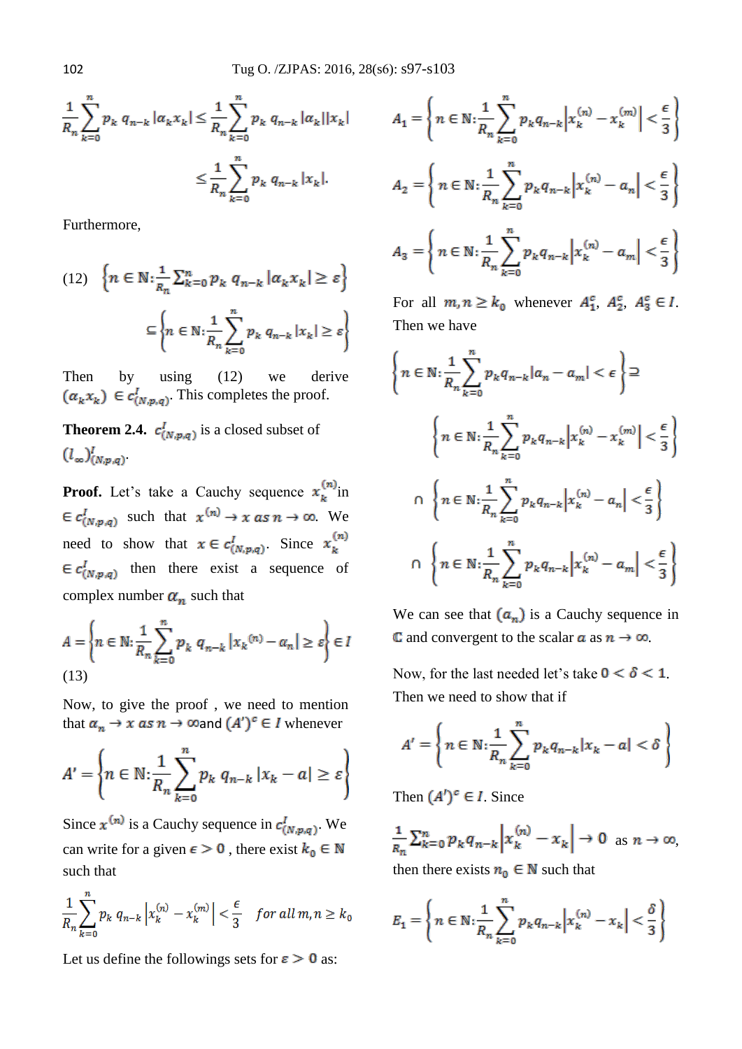$$
\frac{1}{R_n} \sum_{k=0}^n p_k \, q_{n-k} \, |\alpha_k x_k| \le \frac{1}{R_n} \sum_{k=0}^n p_k \, q_{n-k} \, |\alpha_k| |x_k|
$$
\n
$$
\le \frac{1}{R_n} \sum_{k=0}^n p_k \, q_{n-k} \, |x_k|.
$$

Furthermore,

$$
(12) \quad \left\{ n \in \mathbb{N} : \frac{1}{R_n} \sum_{k=0}^n p_k \ q_{n-k} \ |a_k x_k| \ge \varepsilon \right\}
$$

$$
\subseteq \left\{ n \in \mathbb{N} : \frac{1}{R_n} \sum_{k=0}^n p_k \ q_{n-k} \ |x_k| \ge \varepsilon \right\}
$$

Then by using (12) we derive  $(\alpha_k x_k) \in c^l_{(N,p,q)}$ . This completes the proof.

**Theorem 2.4.**  $c^I_{(N,p,q)}$  is a closed subset of  $(l_{\infty})^l_{(N,n,q)}$ 

**Proof.** Let's take a Cauchy sequence  $x_k^{(n)}$ in  $\in c^I_{(N,p,q)}$  such that  $x^{(n)} \to x \text{ as } n \to \infty$ . We need to show that  $x \in c^I_{(N, p, q)}$ . Since  $x_k^{(n)}$  $\in c^I_{(N,p,q)}$  then there exist a sequence of complex number  $\alpha_n$  such that

$$
A = \left\{ n \in \mathbb{N}: \frac{1}{R_n} \sum_{k=0}^n p_k \ q_{n-k} \left| x_k^{(n)} - a_n \right| \ge \varepsilon \right\} \in I
$$
\n
$$
(13)
$$

Now, to give the proof , we need to mention that  $\alpha_n \to x$  as  $n \to \infty$  and  $(A')^c \in I$  whenever

$$
A' = \left\{ n \in \mathbb{N} : \frac{1}{R_n} \sum_{k=0}^n p_k \ q_{n-k} \ |x_k - a| \ge \varepsilon \right\}
$$

Since  $x^{(n)}$  is a Cauchy sequence in  $c_{(N,p,q)}^l$ . We can write for a given  $\epsilon > 0$ , there exist  $k_0 \in \mathbb{N}$ such that

$$
\frac{1}{R_n}\sum_{k=0}^n p_k q_{n-k} \left| x_k^{(n)} - x_k^{(m)} \right| < \frac{\epsilon}{3} \quad \text{for all } m, n \ge k_0
$$

Let us define the followings sets for  $\varepsilon > 0$  as:

$$
A_1 = \left\{ n \in \mathbb{N} : \frac{1}{R_n} \sum_{k=0}^n p_k q_{n-k} \left| x_k^{(n)} - x_k^{(m)} \right| < \frac{\epsilon}{3} \right\}
$$
\n
$$
A_2 = \left\{ n \in \mathbb{N} : \frac{1}{R_n} \sum_{k=0}^n p_k q_{n-k} \left| x_k^{(n)} - a_n \right| < \frac{\epsilon}{3} \right\}
$$

$$
A_3 = \left\{ n \in \mathbb{N}: \frac{1}{R_n} \sum_{k=0}^n p_k q_{n-k} \left| x_k^{(n)} - a_m \right| < \frac{\epsilon}{3} \right\}
$$

For all  $m, n \geq k_0$  whenever  $A_1^c, A_2^c, A_3^c \in I$ . Then we have

$$
\left\{ n \in \mathbb{N} : \frac{1}{R_n} \sum_{k=0}^n p_k q_{n-k} |a_n - a_m| < \epsilon \right\} \supseteq
$$
\n
$$
\left\{ n \in \mathbb{N} : \frac{1}{R_n} \sum_{k=0}^n p_k q_{n-k} \left| x_k^{(n)} - x_k^{(m)} \right| < \frac{\epsilon}{3} \right\}
$$
\n
$$
\cap \left\{ n \in \mathbb{N} : \frac{1}{R_n} \sum_{k=0}^n p_k q_{n-k} \left| x_k^{(n)} - a_n \right| < \frac{\epsilon}{3} \right\}
$$
\n
$$
\cap \left\{ n \in \mathbb{N} : \frac{1}{R_n} \sum_{k=0}^n p_k q_{n-k} \left| x_k^{(n)} - a_m \right| < \frac{\epsilon}{3} \right\}
$$

We can see that  $(a_n)$  is a Cauchy sequence in C and convergent to the scalar  $\alpha$  as  $n \to \infty$ .

Now, for the last needed let's take  $0 < \delta < 1$ . Then we need to show that if

$$
A' = \left\{ n \in \mathbb{N} : \frac{1}{R_n} \sum_{k=0}^n p_k q_{n-k} |x_k - a| < \delta \right\}
$$

Then  $(A')^c \in I$ . Since

 $\frac{1}{R_n} \sum_{k=0}^n p_k q_{n-k} |x_k^{(n)} - x_k| \to 0 \text{ as } n \to \infty,$ then there exists  $n_0 \in \mathbb{N}$  such that

$$
E_1 = \left\{ n \in \mathbb{N} : \frac{1}{R_n} \sum_{k=0}^n p_k q_{n-k} \left| x_k^{(n)} - x_k \right| < \frac{\delta}{3} \right\}
$$